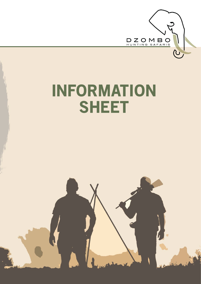

# INFORMATION SHEET

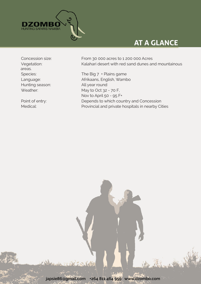

# **AT A GLANCE**

areas. Hunting season: All year round

Concession size: From 30 000 acres to 1 200 000 Acres Vegetation: Kalahari desert with red sand dunes and mountainous

Species: The Big 7 + Plains game Language: Afrikaans, English, Wambo Weather: May to Oct 32 - 70 F, Nov to April 50 - 95 F+ Point of entry: Depends to which country and Concession Medical: Provincial and private hospitals in nearby Cities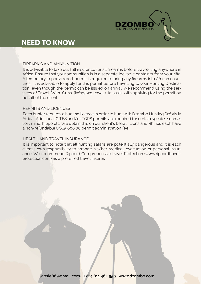

### **NEED TO KNOW**

#### FIREARMS AND AMMUNITION

It is advisable to take out full insurance for all firearms before travel- ling anywhere in Africa. Ensure that your ammunition is in a separate lockable container from your rifle. A temporary import/export permit is required to bring any firearms into African countries . It is advisable to apply for this permit before travelling to your Hunting Destination even though the permit can be issued on arrival. We recommend using the services of Travel With Guns (info@twg.travel ) to assist with applying for the permit on behalf of the client

#### PERMITS AND LICENCES

Each hunter requires a hunting licence in order to hunt with Dzombo Hunting Safaris in Africa . Additional CITES and/or TOPS permits are required for certain species such as lion, rhino, hippo etc. We obtain this on our client's behalf. Lions and Rhinos each have a non-refundable US\$5,000.00 permit administration fee

#### HEALTH AND TRAVEL INSURANCE

It is important to note that all hunting safaris are potentially dangerous and it is each client's own responsibility to arrange his/her medical, evacuation or personal insurance. We recommend Ripcord Comprehensive travel Protection (www.ripcordtravelprotection.com) as a preferred travel insurer.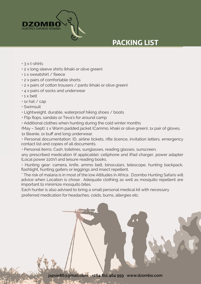

# **PACKING LIST**

- $\cdot$  3 x t-shirts
- 2 x long sleeve shirts (khaki or olive green)
- 1 x sweatshirt / fleece
- 2 x pairs of comfortable shorts
- 2 x pairs of cotton trousers / pants (khaki or olive green)
- 4 x pairs of socks and underwear
- 1 x belt
- 1x hat / cap
- Swimsuit
- Lightweight, durable, waterproof hiking shoes / boots
- Flip flops, sandals or Teva's for around camp
- Additional clothes when hunting during the cold winter months

(May – Sept): 1 x Warm padded jacket (Cammo, khaki or olive green), 1x pair of gloves, 1x Beanie, 1x buff and long underwear.

• Personal documentation: ID, airline tickets, rifle licence, invitation letters, emergency contact list and copies of all documents.

• Personal items: Cash, toiletries, sunglasses, reading glasses, sunscreen,

any prescribed medication (if applicable), cellphone and iPad charger, power adapter (Local power 220V) and leisure reading books.

• Hunting gear: camera, knife, ammo belt, binoculars, telescope, hunting backpack, flashlight, hunting gaiters or leggings and insect repellent.

\* The risk of malaria is in most of the low Altitudes in Africa . Dzombo Hunting Safaris will advice when Location is chose . Adequate clothing as well as mosquito repellent are important to minimize mosquito bites.

Each hunter is also advised to bring a small personal medical kit with necessary preferred medication for headaches, colds, burns, allergies etc.

**japsie86@gmail.com +264 811 464 959 www.dzombo.com**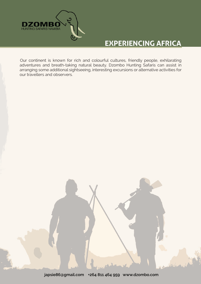

## **EXPERIENCING AFRICA**

Our continent is known for rich and colourful cultures, friendly people, exhilarating adventures and breath-taking natural beauty. Dzombo Hunting Safaris can assist in arranging some additional sightseeing, interesting excursions or alternative activities for our travellers and observers.